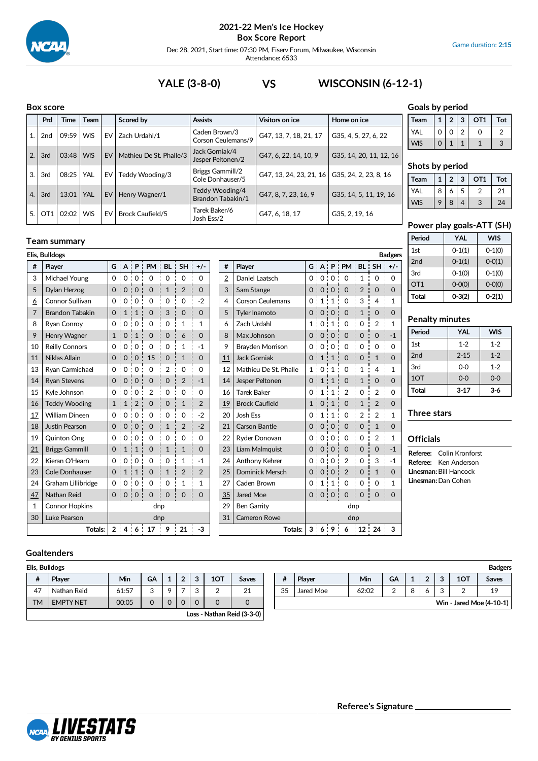

Dec 28, 2021, Start time: 07:30 PM, Fiserv Forum, Milwaukee, Wisconsin Attendance: 6533

**# Player G A P PM BL SH +/-** 2 Daniel Laatsch (0 0 0 0 1 1 0 0 0  $\frac{3}{2}$  Sam Stange  $\begin{array}{c} \circ \\ \circ \\ \circ \end{array}$  0  $\circ$  0  $\circ$  0  $\circ$  0  $\circ$  0  $\circ$  0  $\circ$  0  $\circ$ 4 Corson Ceulemans 0 1 1 0 3 4 1  $\overline{5}$  Tyler Inamoto  $\overline{0}$   $\overline{0}$   $\overline{0}$   $\overline{0}$   $\overline{0}$   $\overline{0}$   $\overline{1}$   $\overline{0}$   $\overline{0}$   $\overline{0}$   $\overline{0}$   $\overline{0}$   $\overline{0}$   $\overline{0}$   $\overline{0}$   $\overline{0}$   $\overline{0}$   $\overline{0}$   $\overline{0}$   $\overline{0}$   $\overline{0}$   $\overline{0}$  6 Zach Urdahl  $1 \ 0 \ 1 \ 0 \ 1 \ 0 \ 0 \ 2 \ 1$ 8 | Max Johnson | 0:0:0:0:0:0:0:0 9 Brayden Morrison 0 0 0 0 0 0 0 11 Jack Gorniak  $\begin{bmatrix} 0 & 1 & 1 & 0 & 0 & 1 & 0 \\ 0 & 1 & 0 & 0 & 0 & 1 & 0 \end{bmatrix}$ 12 Mathieu De St. Phalle 1 | 0 | 1 | 0 | 1 | 4 | 1 14 Jesper Peltonen  $\begin{bmatrix} 0 & 1 & 1 & 0 & 1 & 0 \end{bmatrix}$ 16 Tarek Baker 0 1 1 2 0 2 0 19 Brock Caufield  $10 \cdot 10 \cdot 10 \cdot 12 = 0$ 20 Josh Ess 0 1 1 1 0 2 2 1 21 Carson Bantle  $\begin{array}{ccc} \n\end{array}$  0  $\begin{array}{ccc} 0 & 0 & 0 & 0 & 1 & 0 \n\end{array}$ 22 Ryder Donovan  $\begin{array}{ccc} \vert & 0 & 0 & 0 & 0 & 0 & 2 & 1 \end{array}$  $23$  Liam Malmquist  $\begin{bmatrix} 0 & 0 & 0 \\ 0 & 0 & 0 \end{bmatrix}$   $\begin{bmatrix} 0 & 0 & 0 \\ 0 & 1 & 0 \end{bmatrix}$  -1 24 Anthony Kehrer 0 0 0 2 0 3 -1 25 Dominick Mersch  $\begin{bmatrix} 0 & 0 & 0 & 2 & 0 & 1 \\ 0 & 0 & 0 & 2 & 0 & 1 \end{bmatrix}$ 27 Caden Brown  $\begin{bmatrix} 0 & 1 & 1 & 0 & 0 & 0 & 1 \end{bmatrix}$ 35 Jared Moe 0 0 0 0 0 0 0

29 Ben Garrity and the dnp 31 Cameron Rowe dnp

**Totals: 3 6 9 6 12 24 3**

# **YALE (3-8-0) VS WISCONSIN (6-12-1)**

#### **Box score**

**Team summary**

**# Player G A P PM BL SH +/-** 3 Michael Young 0 0 0 0 0 0 0 5 Dylan Herzog 0 0 0 0 0 0 1 2 0  $\underline{6}$  Connor Sullivan 0 0 0 0 0 0 0 0 0 0 2 7 Brandon Tabakin  $\begin{bmatrix} 0 & 1 & 1 & 0 & 3 & 0 & 0 \\ 0 & 0 & 0 & 0 & 0 & 0 \\ 0 & 0 & 0 & 0 & 0 & 0 \\ 0 & 0 & 0 & 0 & 0 & 0 \\ 0 & 0 & 0 & 0 & 0 & 0 \\ 0 & 0 & 0 & 0 & 0 & 0 \\ 0 & 0 & 0 & 0 & 0 & 0 \\ 0 & 0 & 0 & 0 & 0 & 0 \\ 0 & 0 & 0 & 0 & 0 & 0 \\ 0 & 0 & 0 & 0 & 0 & 0 \\ 0 & 0 & 0 & 0 &$ 8 Ryan Conroy | 0 0 0 0 0 0 0 1 1 1 9 Henry Wagner 1:0:1:0:0:6:0 10 Reilly Connors 0 0 0 0 0 0 0 1 1 -1 11 | Niklas Allain  $\begin{bmatrix} 0 & 0 & 0 & 15 \\ 0 & 0 & 15 & 0 \\ 0 & 0 & 0 & 1 \end{bmatrix}$  1 | 0 13 | Ryan Carmichael  $\begin{bmatrix} 0 & 0 & 0 & 0 & 0 & 2 & 0 & 0 \\ 0 & 0 & 0 & 0 & 0 & 0 & 0 \end{bmatrix}$ 14 Ryan Stevens 0 0 0 0 0 0 0 2 : -1  $15$  Kyle Johnson  $\begin{array}{c|c} \circ & \circ & \circ & \circ & \circ & \circ \end{array}$ 16 | Teddy Wooding |  $1 : 1 : 2 : 0 : 0 : 1 : 2$ 17 William Dineen  $\begin{bmatrix} 0 & 0 & 0 & 0 & 0 & 0 & 0 & 2 \end{bmatrix}$ 18 Justin Pearson  $\begin{bmatrix} 0 & 0 & 0 & 0 & 1 & 2 & 2 \end{bmatrix}$  -2  $19$  Quinton Ong  $\begin{bmatrix} 0 & 0 & 0 & 0 \\ 0 & 0 & 0 & 0 \\ 0 & 0 & 0 & 0 \end{bmatrix}$ 21 | Briggs Gammill  $\begin{bmatrix} 0 & 1 & 1 & 0 & 1 & 1 & 1 & 0 \ 0 & 0 & 1 & 1 & 0 & 1 & 1 & 0 \end{bmatrix}$ 22 | Kieran O'Hearn |  $0 : 0 : 0 : 0 : 0 : 1 : 1$ 23 Cole Donhauser  $\begin{bmatrix} 0 & 1 & 1 & 0 & 1 & 2 & 2 \end{bmatrix}$ 24 Graham Lillibridge  $\begin{bmatrix} 0 & 0 & 0 \\ 0 & 0 & 0 \end{bmatrix}$  0  $\begin{bmatrix} 0 & 1 & 1 \\ 0 & 1 & 1 \end{bmatrix}$  1 47 Nathan Reid 0 0 0 0 0 0 0

|     | DUX SLUIE       |       |            |    |                         |                                      |                         |                         |  |
|-----|-----------------|-------|------------|----|-------------------------|--------------------------------------|-------------------------|-------------------------|--|
|     | Prd             | Time  | Team       |    | Scored by               | <b>Assists</b>                       | Visitors on ice         | Home on ice             |  |
| 1.1 | 2 <sub>nd</sub> | 09:59 | <b>WIS</b> | EV | Zach Urdahl/1           | Caden Brown/3<br>Corson Ceulemans/9  | G47, 13, 7, 18, 21, 17  | G35, 4, 5, 27, 6, 22    |  |
| 2.1 | 3rd             | 03:48 | <b>WIS</b> | EV | Mathieu De St. Phalle/3 | Jack Gorniak/4<br>Jesper Peltonen/2  | G47, 6, 22, 14, 10, 9   | G35, 14, 20, 11, 12, 16 |  |
| 3.  | 3rd             | 08:25 | YAL        | EV | Teddy Wooding/3         | Briggs Gammill/2<br>Cole Donhauser/5 | G47, 13, 24, 23, 21, 16 | G35, 24, 2, 23, 8, 16   |  |
| 4.  | 3rd             | 13:01 | YAL        | EV | Henry Wagner/1          | Teddy Wooding/4<br>Brandon Tabakin/1 | G47, 8, 7, 23, 16, 9    | G35, 14, 5, 11, 19, 16  |  |
| 5.1 | OT <sub>1</sub> | 02:02 | <b>WIS</b> | EV | <b>Brock Caufield/5</b> | Tarek Baker/6<br>Josh Ess/2          | G47, 6, 18, 17          | G35, 2, 19, 16          |  |

**Elis, Bulldogs Badgers**

### **Goals by period**

| Team |          | $\overline{2}$ | 3 | OT <sub>1</sub> | Tot |
|------|----------|----------------|---|-----------------|-----|
| YAL  | 0        | O              | 2 |                 |     |
| VIS  | $\Omega$ |                |   |                 |     |

#### **Shots by period**

| Team       |   | າ | 3 | OT <sub>1</sub> | Tot |
|------------|---|---|---|-----------------|-----|
| <b>YAL</b> | 8 | 6 | 5 |                 | 21  |
| VIS        | Q | 8 |   | $\mathbf{r}$    | 24  |

#### **Power play goals-ATT (SH)**

| Period          | <b>YAL</b> | <b>WIS</b> |
|-----------------|------------|------------|
| 1st             | $0-1(1)$   | $0-1(0)$   |
| 2nd             | $0-1(1)$   | $0 - 0(1)$ |
| 3rd             | $0-1(0)$   | $0-1(0)$   |
| OT <sub>1</sub> | $O-O(O)$   | $O-O(O)$   |
| Total           | $0-3(2)$   | $0-2(1)$   |

## **Penalty minutes**

| Period | <b>YAL</b> | <b>WIS</b> |
|--------|------------|------------|
| 1st    | $1 - 2$    | $1 - 2$    |
| 2nd    | $2 - 15$   | $1 - 2$    |
| 3rd    | $0 - 0$    | $1 - 2$    |
| 1OT    | $0 - 0$    | $0 - 0$    |
| Total  | $3 - 17$   | $3-6$      |

#### **Three stars**

### **Officials**

**Referee:** Colin Kronforst **Referee:** Ken Anderson **Linesman:**Bill Hancock **Linesman:**Dan Cohen

## **Goaltenders**

1 Connor Hopkins dnp 30 Luke Pearson dnp

| Elis, Bulldogs |  |
|----------------|--|
|----------------|--|

| #  | Player           | Min   | GA | $\blacktriangleleft$ | $\sim$ | 2 | 1OT | Saves                      |  |
|----|------------------|-------|----|----------------------|--------|---|-----|----------------------------|--|
| 47 | Nathan Reid      | 61:57 | 3  | $\Omega$             |        | ົ |     | 21                         |  |
| TМ | <b>EMPTY NET</b> | 00:05 |    |                      |        |   |     |                            |  |
|    |                  |       |    |                      |        |   |     | Loss - Nathan Reid (3-3-0) |  |

**Totals: 2 4 6 17 9 21 -3**

| Elis, Bulldogs |                  |       |           |        |            |     |         |    |           |       |    |         |        |        |     | <b>Badgers</b>           |
|----------------|------------------|-------|-----------|--------|------------|-----|---------|----|-----------|-------|----|---------|--------|--------|-----|--------------------------|
|                | Player           | Min   | <b>GA</b> | $\sim$ | $\sqrt{2}$ | 1OT | Saves   | #  | Player    | Min   | GA |         | c<br>∸ | っ<br>ີ | 1OT | <b>Saves</b>             |
| 47             | Nathan Reid      | 61:57 |           |        |            |     | 21<br>ᅩ | 35 | Jared Moe | 62:02 |    | $\circ$ |        |        |     | 19                       |
| <b>TM</b>      | <b>EMPTY NET</b> | 00:05 |           |        |            |     |         |    |           |       |    |         |        |        |     | Win - Jared Moe (4-10-1) |